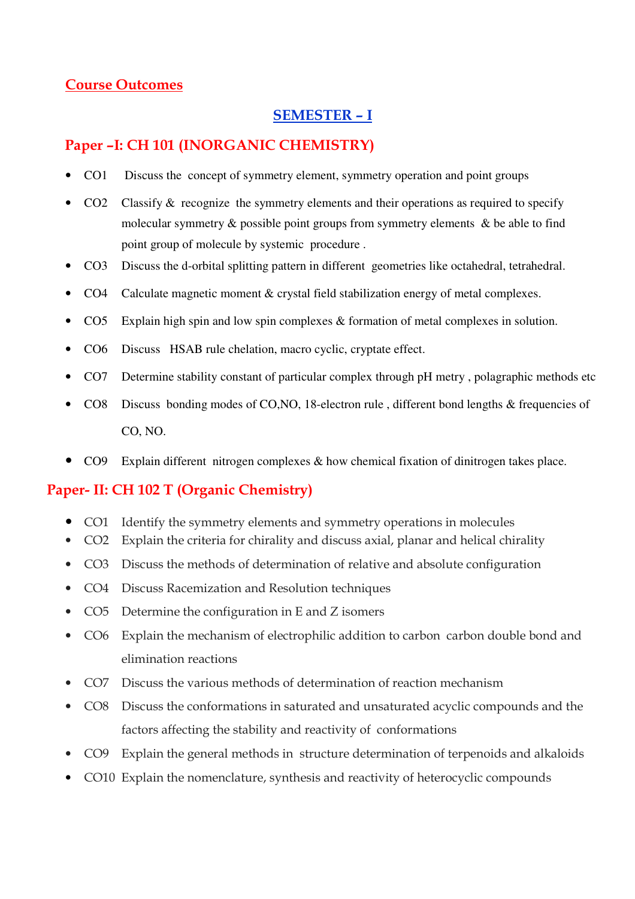## Course Outcomes

## SEMESTER – I

## Paper –I: CH 101 (INORGANIC CHEMISTRY)

- CO1 Discuss the concept of symmetry element, symmetry operation and point groups
- $\text{CO2}$  Classify & recognize the symmetry elements and their operations as required to specify molecular symmetry & possible point groups from symmetry elements & be able to find point group of molecule by systemic procedure .
- CO3 Discuss the d-orbital splitting pattern in different geometries like octahedral, tetrahedral.
- CO4 Calculate magnetic moment & crystal field stabilization energy of metal complexes.
- CO5 Explain high spin and low spin complexes & formation of metal complexes in solution.
- CO6 Discuss HSAB rule chelation, macro cyclic, cryptate effect.
- CO7 Determine stability constant of particular complex through pH metry , polagraphic methods etc
- CO8 Discuss bonding modes of CO,NO, 18-electron rule , different bond lengths & frequencies of CO, NO.
- CO9 Explain different nitrogen complexes & how chemical fixation of dinitrogen takes place.

### Paper- II: CH 102 T (Organic Chemistry)

- CO1 Identify the symmetry elements and symmetry operations in molecules
- CO2 Explain the criteria for chirality and discuss axial, planar and helical chirality
- CO3 Discuss the methods of determination of relative and absolute configuration
- CO4 Discuss Racemization and Resolution techniques
- CO5 Determine the configuration in E and Z isomers
- CO6 Explain the mechanism of electrophilic addition to carbon carbon double bond and elimination reactions
- CO7 Discuss the various methods of determination of reaction mechanism
- CO8 Discuss the conformations in saturated and unsaturated acyclic compounds and the factors affecting the stability and reactivity of conformations
- CO9 Explain the general methods in structure determination of terpenoids and alkaloids
- CO10 Explain the nomenclature, synthesis and reactivity of heterocyclic compounds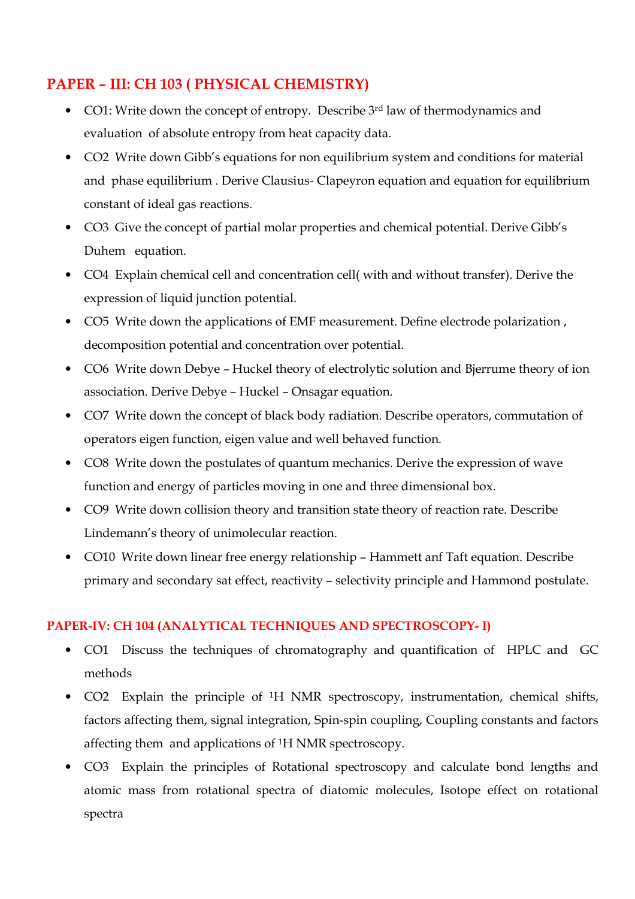## PAPER – III: CH 103 ( PHYSICAL CHEMISTRY)

- CO1: Write down the concept of entropy. Describe 3<sup>rd</sup> law of thermodynamics and evaluation of absolute entropy from heat capacity data.
- CO2 Write down Gibb's equations for non equilibrium system and conditions for material and phase equilibrium . Derive Clausius- Clapeyron equation and equation for equilibrium constant of ideal gas reactions.
- CO3 Give the concept of partial molar properties and chemical potential. Derive Gibb's Duhem equation.
- CO4 Explain chemical cell and concentration cell( with and without transfer). Derive the expression of liquid junction potential.
- CO5 Write down the applications of EMF measurement. Define electrode polarization , decomposition potential and concentration over potential.
- CO6 Write down Debye Huckel theory of electrolytic solution and Bjerrume theory of ion association. Derive Debye – Huckel – Onsagar equation.
- CO7 Write down the concept of black body radiation. Describe operators, commutation of operators eigen function, eigen value and well behaved function.
- CO8 Write down the postulates of quantum mechanics. Derive the expression of wave function and energy of particles moving in one and three dimensional box.
- CO9 Write down collision theory and transition state theory of reaction rate. Describe Lindemann's theory of unimolecular reaction.
- CO10 Write down linear free energy relationship Hammett anf Taft equation. Describe primary and secondary sat effect, reactivity – selectivity principle and Hammond postulate.

### PAPER-IV: CH 104 (ANALYTICAL TECHNIQUES AND SPECTROSCOPY- I)

- CO1 Discuss the techniques of chromatography and quantification of HPLC and GC methods
- CO2 Explain the principle of <sup>1</sup>H NMR spectroscopy, instrumentation, chemical shifts, factors affecting them, signal integration, Spin-spin coupling, Coupling constants and factors affecting them and applications of <sup>1</sup>H NMR spectroscopy.
- CO3 Explain the principles of Rotational spectroscopy and calculate bond lengths and atomic mass from rotational spectra of diatomic molecules, Isotope effect on rotational spectra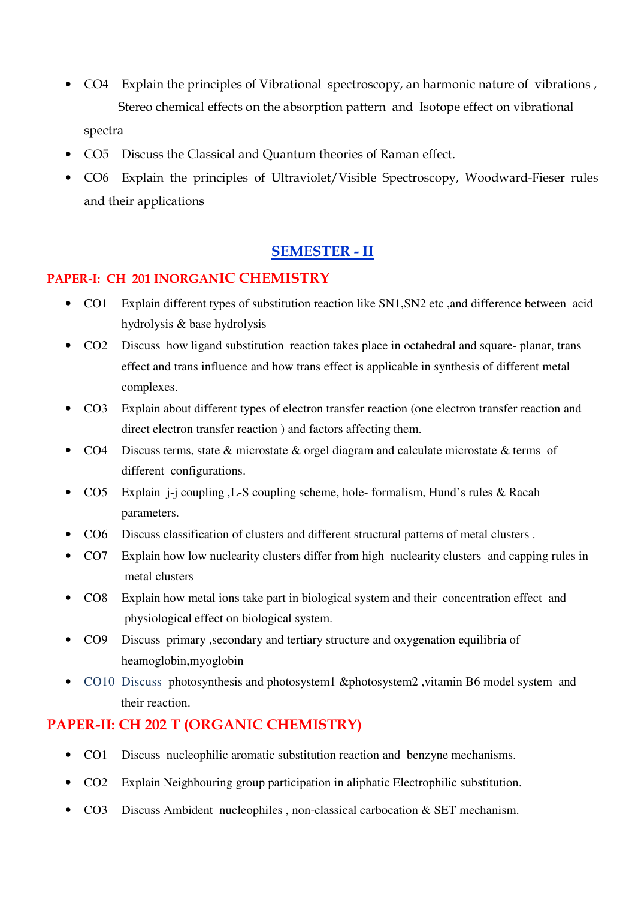- CO4 Explain the principles of Vibrational spectroscopy, an harmonic nature of vibrations , Stereo chemical effects on the absorption pattern and Isotope effect on vibrational spectra
- CO5 Discuss the Classical and Quantum theories of Raman effect.
- CO6 Explain the principles of Ultraviolet/Visible Spectroscopy, Woodward-Fieser rules and their applications

#### SEMESTER - II

#### PAPER-I: CH 201 INORGANIC CHEMISTRY

- CO1 Explain different types of substitution reaction like SN1,SN2 etc ,and difference between acid hydrolysis & base hydrolysis
- CO2 Discuss how ligand substitution reaction takes place in octahedral and square- planar, trans effect and trans influence and how trans effect is applicable in synthesis of different metal complexes.
- CO3 Explain about different types of electron transfer reaction (one electron transfer reaction and direct electron transfer reaction ) and factors affecting them.
- CO4 Discuss terms, state & microstate & orgel diagram and calculate microstate & terms of different configurations.
- CO5 Explain j-j coupling ,L-S coupling scheme, hole- formalism, Hund's rules & Racah parameters.
- CO6 Discuss classification of clusters and different structural patterns of metal clusters .
- CO7 Explain how low nuclearity clusters differ from high nuclearity clusters and capping rules in metal clusters
- CO8 Explain how metal ions take part in biological system and their concentration effect and physiological effect on biological system.
- CO9 Discuss primary ,secondary and tertiary structure and oxygenation equilibria of heamoglobin,myoglobin
- CO10 Discuss photosynthesis and photosystem1 &photosystem2 ,vitamin B6 model system and their reaction.

#### PAPER-II: CH 202 T (ORGANIC CHEMISTRY)

- CO1 Discuss nucleophilic aromatic substitution reaction and benzyne mechanisms.
- CO2 Explain Neighbouring group participation in aliphatic Electrophilic substitution.
- CO3 Discuss Ambident nucleophiles, non-classical carbocation  $&$  SET mechanism.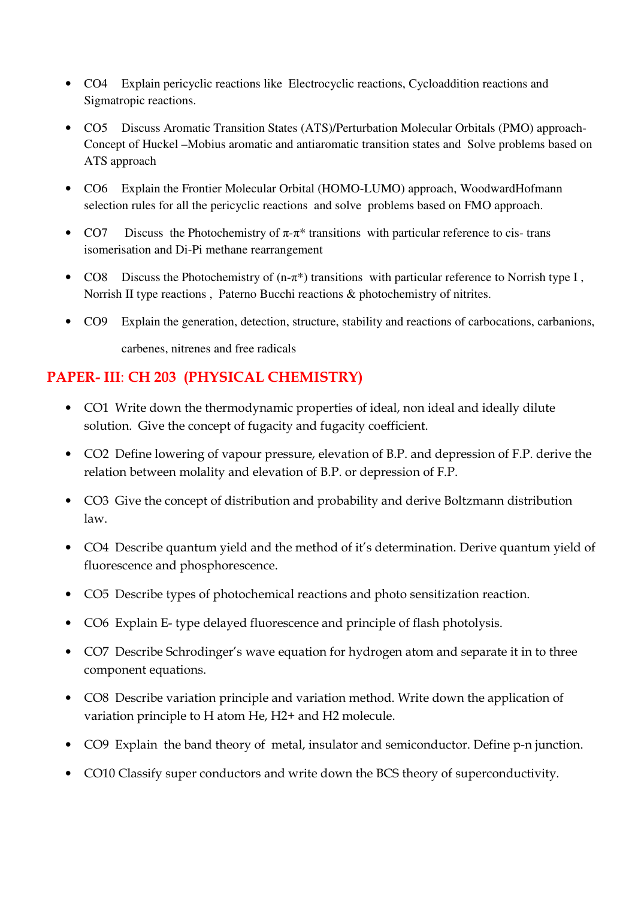- CO4 Explain pericyclic reactions like Electrocyclic reactions, Cycloaddition reactions and Sigmatropic reactions.
- CO5 Discuss Aromatic Transition States (ATS)/Perturbation Molecular Orbitals (PMO) approach-Concept of Huckel –Mobius aromatic and antiaromatic transition states and Solve problems based on ATS approach
- CO6 Explain the Frontier Molecular Orbital (HOMO-LUMO) approach, WoodwardHofmann selection rules for all the pericyclic reactions and solve problems based on FMO approach.
- CO7 Discuss the Photochemistry of  $\pi$ - $\pi$ <sup>\*</sup> transitions with particular reference to cis- trans isomerisation and Di-Pi methane rearrangement
- CO8 Discuss the Photochemistry of  $(n-\pi^*)$  transitions with particular reference to Norrish type I, Norrish II type reactions , Paterno Bucchi reactions & photochemistry of nitrites.
- CO9 Explain the generation, detection, structure, stability and reactions of carbocations, carbanions, carbenes, nitrenes and free radicals

# PAPER- III: CH 203 (PHYSICAL CHEMISTRY)

- CO1 Write down the thermodynamic properties of ideal, non ideal and ideally dilute solution. Give the concept of fugacity and fugacity coefficient.
- CO2 Define lowering of vapour pressure, elevation of B.P. and depression of F.P. derive the relation between molality and elevation of B.P. or depression of F.P.
- CO3 Give the concept of distribution and probability and derive Boltzmann distribution law.
- CO4 Describe quantum yield and the method of it's determination. Derive quantum yield of fluorescence and phosphorescence.
- CO5 Describe types of photochemical reactions and photo sensitization reaction.
- CO6 Explain E- type delayed fluorescence and principle of flash photolysis.
- CO7 Describe Schrodinger's wave equation for hydrogen atom and separate it in to three component equations.
- CO8 Describe variation principle and variation method. Write down the application of variation principle to H atom He, H2+ and H2 molecule.
- CO9 Explain the band theory of metal, insulator and semiconductor. Define p-n junction.
- CO10 Classify super conductors and write down the BCS theory of superconductivity.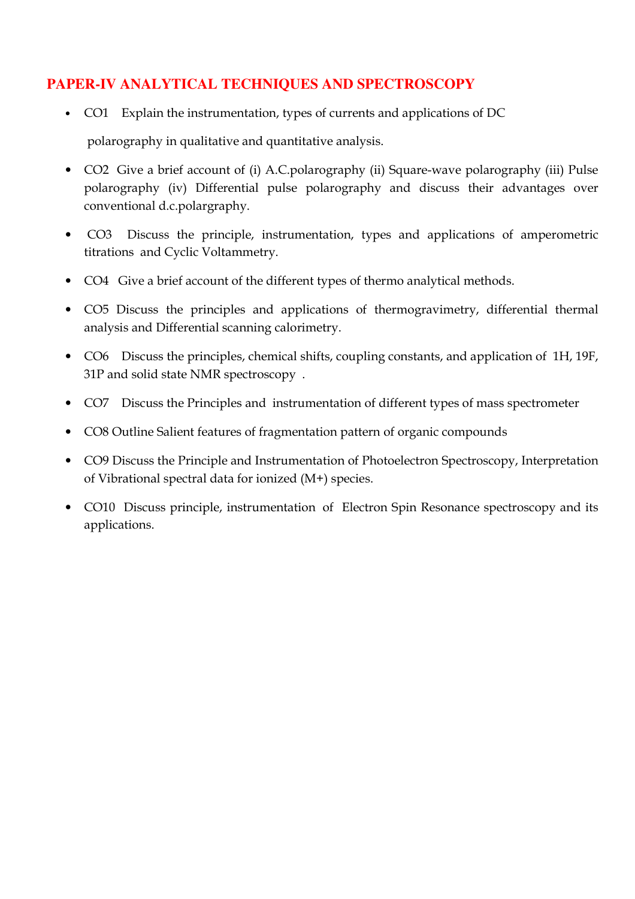## **PAPER-IV ANALYTICAL TECHNIQUES AND SPECTROSCOPY**

- CO1 Explain the instrumentation, types of currents and applications of DC polarography in qualitative and quantitative analysis.
- CO2 Give a brief account of (i) A.C.polarography (ii) Square-wave polarography (iii) Pulse polarography (iv) Differential pulse polarography and discuss their advantages over conventional d.c.polargraphy.
- CO3 Discuss the principle, instrumentation, types and applications of amperometric titrations and Cyclic Voltammetry.
- CO4 Give a brief account of the different types of thermo analytical methods.
- CO5 Discuss the principles and applications of thermogravimetry, differential thermal analysis and Differential scanning calorimetry.
- CO6 Discuss the principles, chemical shifts, coupling constants, and application of 1H, 19F, 31P and solid state NMR spectroscopy .
- CO7 Discuss the Principles and instrumentation of different types of mass spectrometer
- CO8 Outline Salient features of fragmentation pattern of organic compounds
- CO9 Discuss the Principle and Instrumentation of Photoelectron Spectroscopy, Interpretation of Vibrational spectral data for ionized (M+) species.
- CO10 Discuss principle, instrumentation of Electron Spin Resonance spectroscopy and its applications.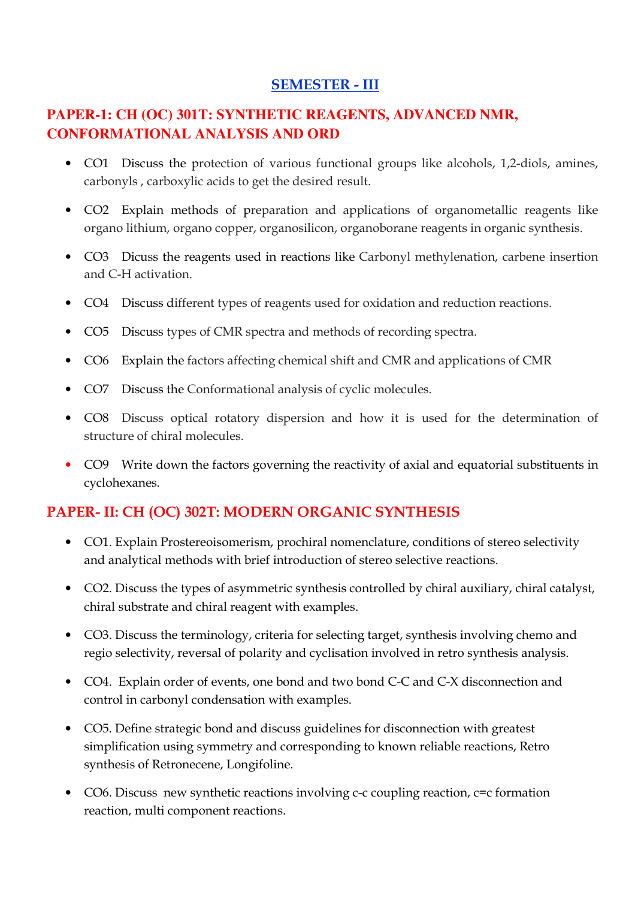## SEMESTER - III

## **PAPER-1: CH (OC) 301T: SYNTHETIC REAGENTS, ADVANCED NMR, CONFORMATIONAL ANALYSIS AND ORD**

- CO1 Discuss the protection of various functional groups like alcohols, 1,2-diols, amines, carbonyls , carboxylic acids to get the desired result.
- CO2 Explain methods of preparation and applications of organometallic reagents like organo lithium, organo copper, organosilicon, organoborane reagents in organic synthesis.
- CO3 Dicuss the reagents used in reactions like Carbonyl methylenation, carbene insertion and C-H activation.
- CO4 Discuss different types of reagents used for oxidation and reduction reactions.
- CO5 Discuss types of CMR spectra and methods of recording spectra.
- CO6 Explain the factors affecting chemical shift and CMR and applications of CMR
- CO7 Discuss the Conformational analysis of cyclic molecules.
- CO8 Discuss optical rotatory dispersion and how it is used for the determination of structure of chiral molecules.
- CO9 Write down the factors governing the reactivity of axial and equatorial substituents in cyclohexanes.

## PAPER- II: CH (OC) 302T: MODERN ORGANIC SYNTHESIS

- CO1. Explain Prostereoisomerism, prochiral nomenclature, conditions of stereo selectivity and analytical methods with brief introduction of stereo selective reactions.
- CO2. Discuss the types of asymmetric synthesis controlled by chiral auxiliary, chiral catalyst, chiral substrate and chiral reagent with examples.
- CO3. Discuss the terminology, criteria for selecting target, synthesis involving chemo and regio selectivity, reversal of polarity and cyclisation involved in retro synthesis analysis.
- CO4. Explain order of events, one bond and two bond C-C and C-X disconnection and control in carbonyl condensation with examples.
- CO5. Define strategic bond and discuss guidelines for disconnection with greatest simplification using symmetry and corresponding to known reliable reactions, Retro synthesis of Retronecene, Longifoline.
- CO6. Discuss new synthetic reactions involving c-c coupling reaction,  $c=c$  formation reaction, multi component reactions.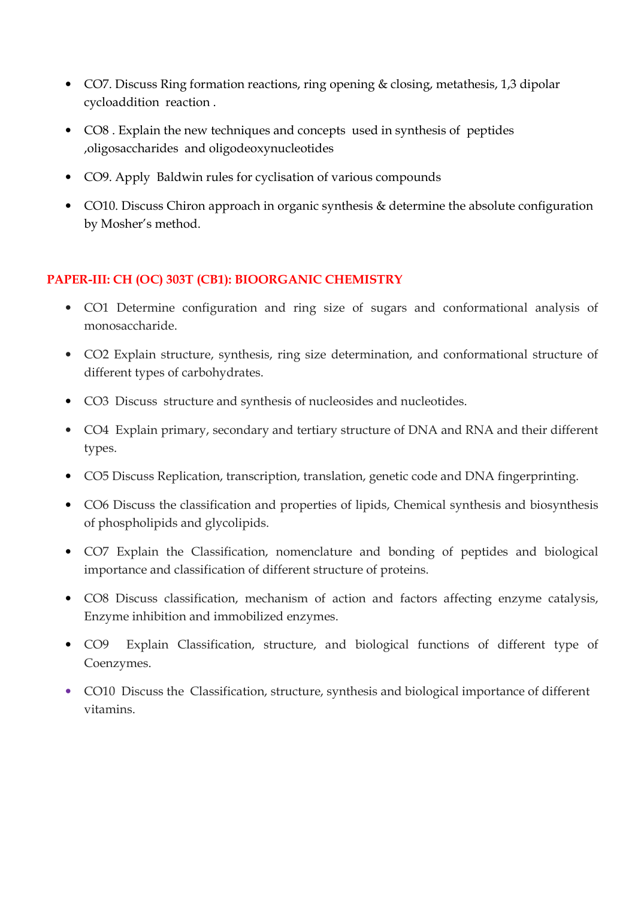- CO7. Discuss Ring formation reactions, ring opening & closing, metathesis, 1,3 dipolar cycloaddition reaction .
- CO8 . Explain the new techniques and concepts used in synthesis of peptides ,oligosaccharides and oligodeoxynucleotides
- CO9. Apply Baldwin rules for cyclisation of various compounds
- CO10. Discuss Chiron approach in organic synthesis & determine the absolute configuration by Mosher's method.

### PAPER-III: CH (OC) 303T (CB1): BIOORGANIC CHEMISTRY

- CO1 Determine configuration and ring size of sugars and conformational analysis of monosaccharide.
- CO2 Explain structure, synthesis, ring size determination, and conformational structure of different types of carbohydrates.
- CO3 Discuss structure and synthesis of nucleosides and nucleotides.
- CO4 Explain primary, secondary and tertiary structure of DNA and RNA and their different types.
- CO5 Discuss Replication, transcription, translation, genetic code and DNA fingerprinting.
- CO6 Discuss the classification and properties of lipids, Chemical synthesis and biosynthesis of phospholipids and glycolipids.
- CO7 Explain the Classification, nomenclature and bonding of peptides and biological importance and classification of different structure of proteins.
- CO8 Discuss classification, mechanism of action and factors affecting enzyme catalysis, Enzyme inhibition and immobilized enzymes.
- CO9 Explain Classification, structure, and biological functions of different type of Coenzymes.
- CO10 Discuss the Classification, structure, synthesis and biological importance of different vitamins.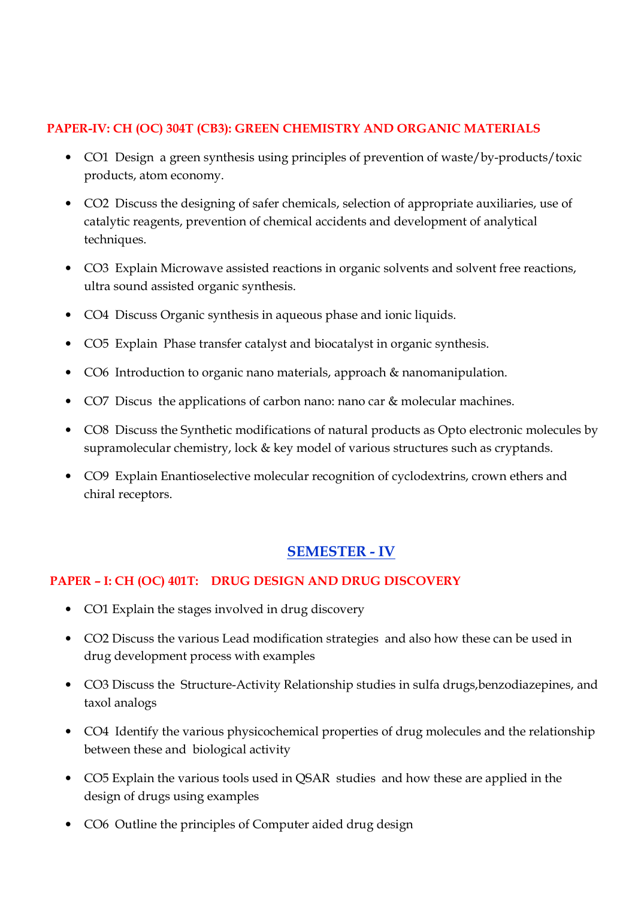#### PAPER-IV: CH (OC) 304T (CB3): GREEN CHEMISTRY AND ORGANIC MATERIALS

- CO1 Design a green synthesis using principles of prevention of waste/by-products/toxic products, atom economy.
- CO2 Discuss the designing of safer chemicals, selection of appropriate auxiliaries, use of catalytic reagents, prevention of chemical accidents and development of analytical techniques.
- CO3 Explain Microwave assisted reactions in organic solvents and solvent free reactions, ultra sound assisted organic synthesis.
- CO4 Discuss Organic synthesis in aqueous phase and ionic liquids.
- CO5 Explain Phase transfer catalyst and biocatalyst in organic synthesis.
- CO6 Introduction to organic nano materials, approach & nanomanipulation.
- CO7 Discus the applications of carbon nano: nano car & molecular machines.
- CO8 Discuss the Synthetic modifications of natural products as Opto electronic molecules by supramolecular chemistry, lock & key model of various structures such as cryptands.
- CO9 Explain Enantioselective molecular recognition of cyclodextrins, crown ethers and chiral receptors.

## SEMESTER - IV

### PAPER – I: CH (OC) 401T: DRUG DESIGN AND DRUG DISCOVERY

- CO1 Explain the stages involved in drug discovery
- CO2 Discuss the various Lead modification strategies and also how these can be used in drug development process with examples
- CO3 Discuss the Structure-Activity Relationship studies in sulfa drugs, benzodiazepines, and taxol analogs
- CO4 Identify the various physicochemical properties of drug molecules and the relationship between these and biological activity
- CO5 Explain the various tools used in QSAR studies and how these are applied in the design of drugs using examples
- CO6 Outline the principles of Computer aided drug design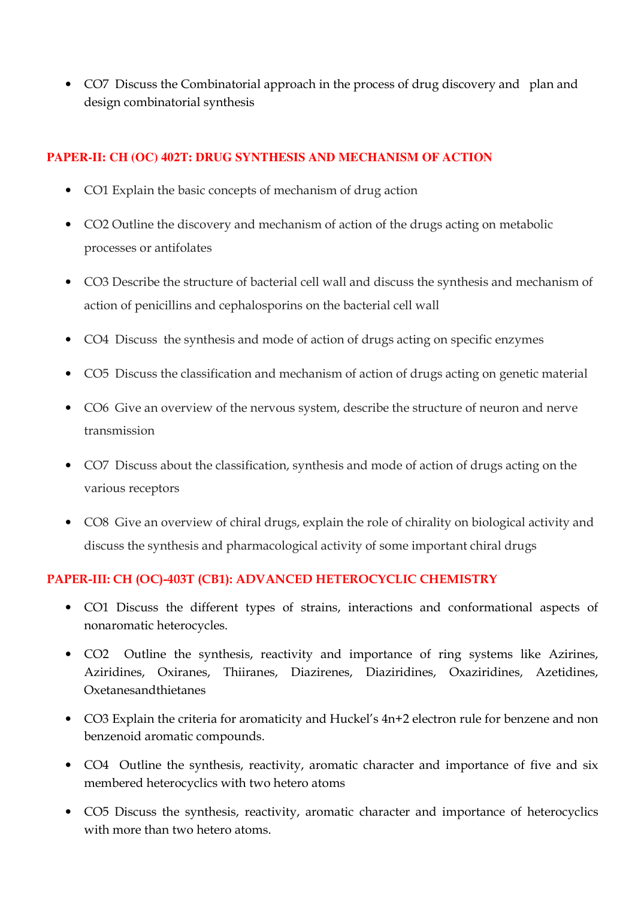• CO7 Discuss the Combinatorial approach in the process of drug discovery and plan and design combinatorial synthesis

#### **PAPER-II: CH (OC) 402T: DRUG SYNTHESIS AND MECHANISM OF ACTION**

- CO1 Explain the basic concepts of mechanism of drug action
- CO2 Outline the discovery and mechanism of action of the drugs acting on metabolic processes or antifolates
- CO3 Describe the structure of bacterial cell wall and discuss the synthesis and mechanism of action of penicillins and cephalosporins on the bacterial cell wall
- CO4 Discuss the synthesis and mode of action of drugs acting on specific enzymes
- CO5 Discuss the classification and mechanism of action of drugs acting on genetic material
- CO6 Give an overview of the nervous system, describe the structure of neuron and nerve transmission
- CO7 Discuss about the classification, synthesis and mode of action of drugs acting on the various receptors
- CO8 Give an overview of chiral drugs, explain the role of chirality on biological activity and discuss the synthesis and pharmacological activity of some important chiral drugs

#### PAPER-III: CH (OC)-403T (CB1): ADVANCED HETEROCYCLIC CHEMISTRY

- CO1 Discuss the different types of strains, interactions and conformational aspects of nonaromatic heterocycles.
- CO2 Outline the synthesis, reactivity and importance of ring systems like Azirines, Aziridines, Oxiranes, Thiiranes, Diazirenes, Diaziridines, Oxaziridines, Azetidines, Oxetanesandthietanes
- CO3 Explain the criteria for aromaticity and Huckel's 4n+2 electron rule for benzene and non benzenoid aromatic compounds.
- CO4 Outline the synthesis, reactivity, aromatic character and importance of five and six membered heterocyclics with two hetero atoms
- CO5 Discuss the synthesis, reactivity, aromatic character and importance of heterocyclics with more than two hetero atoms.